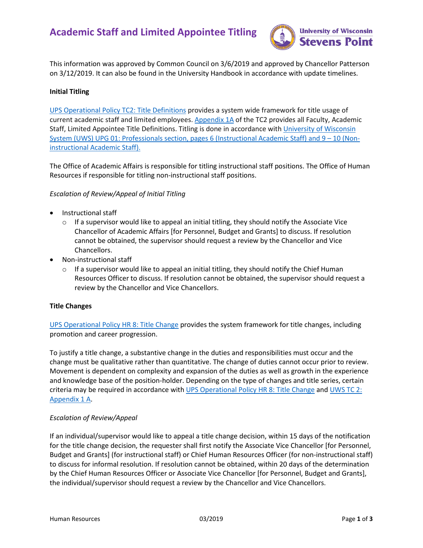# **Academic Staff and Limited Appointee Titling**



This information was approved by Common Council on 3/6/2019 and approved by Chancellor Patterson on 3/12/2019. It can also be found in the University Handbook in accordance with update timelines.

## **Initial Titling**

[UPS Operational Policy TC2: Title Definitions](http://www.uwsa.edu/ohrwd/policies/upg1.pdf) provides a system wide framework for title usage of current academic staff and limited employees. [Appendix 1A](https://www.wisconsin.edu/ohrwd/download/policies/ops/tc2a1a.pdf) of the TC2 provides all Faculty, Academic Staff, Limited Appointee Title Definitions. Titling is done in accordance with University of Wisconsin [System \(UWS\) UPG 01: Professionals section, pages 6 \(Instructional](https://www.wisconsin.edu/ohrwd/download/upg/UPG01.pdf) Academic Staff) and 9 – 10 (Non[instructional Academic Staff\).](https://www.wisconsin.edu/ohrwd/download/upg/UPG01.pdf) 

The Office of Academic Affairs is responsible for titling instructional staff positions. The Office of Human Resources if responsible for titling non-instructional staff positions.

## *Escalation of Review/Appeal of Initial Titling*

- Instructional staff
	- $\circ$  If a supervisor would like to appeal an initial titling, they should notify the Associate Vice Chancellor of Academic Affairs [for Personnel, Budget and Grants] to discuss. If resolution cannot be obtained, the supervisor should request a review by the Chancellor and Vice Chancellors.
- Non-instructional staff
	- $\circ$  If a supervisor would like to appeal an initial titling, they should notify the Chief Human Resources Officer to discuss. If resolution cannot be obtained, the supervisor should request a review by the Chancellor and Vice Chancellors.

#### **Title Changes**

[UPS Operational Policy HR 8: Title Change](https://www.wisconsin.edu/ohrwd/download/policies/ops/hr8.pdf) provides the system framework for title changes, including promotion and career progression.

To justify a title change, a substantive change in the duties and responsibilities must occur and the change must be qualitative rather than quantitative. The change of duties cannot occur prior to review. Movement is dependent on complexity and expansion of the duties as well as growth in the experience and knowledge base of the position-holder. Depending on the type of changes and title series, certain criteria may be required in accordance with [UPS Operational Policy HR 8: Title Change](https://www.wisconsin.edu/ohrwd/download/policies/ops/hr8.pdf) and UWS TC 2: [Appendix 1 A.](https://www.wisconsin.edu/ohrwd/download/policies/ops/tc2a1a.pdf)

# *Escalation of Review/Appeal*

If an individual/supervisor would like to appeal a title change decision, within 15 days of the notification for the title change decision, the requester shall first notify the Associate Vice Chancellor [for Personnel, Budget and Grants] (for instructional staff) or Chief Human Resources Officer (for non-instructional staff) to discuss for informal resolution. If resolution cannot be obtained, within 20 days of the determination by the Chief Human Resources Officer or Associate Vice Chancellor [for Personnel, Budget and Grants], the individual/supervisor should request a review by the Chancellor and Vice Chancellors.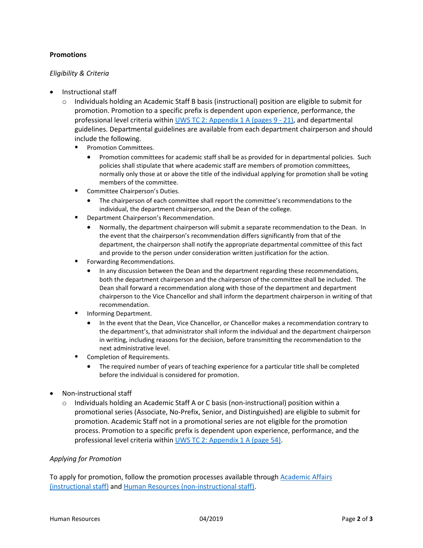# **Promotions**

# *Eligibility & Criteria*

- Instructional staff
	- o Individuals holding an Academic Staff B basis (instructional) position are eligible to submit for promotion. Promotion to a specific prefix is dependent upon experience, performance, the professional level criteria within [UWS TC 2: Appendix 1 A \(pages 9 -](https://www.wisconsin.edu/ohrwd/download/policies/ops/tc2a1a.pdf) 21), and departmental guidelines. Departmental guidelines are available from each department chairperson and should include the following.
		- **Promotion Committees.** 
			- Promotion committees for academic staff shall be as provided for in departmental policies. Such policies shall stipulate that where academic staff are members of promotion committees, normally only those at or above the title of the individual applying for promotion shall be voting members of the committee.
		- **Committee Chairperson's Duties.** 
			- The chairperson of each committee shall report the committee's recommendations to the individual, the department chairperson, and the Dean of the college.
		- **Department Chairperson's Recommendation.** 
			- Normally, the department chairperson will submit a separate recommendation to the Dean. In the event that the chairperson's recommendation differs significantly from that of the department, the chairperson shall notify the appropriate departmental committee of this fact and provide to the person under consideration written justification for the action.
		- **Fig. 5** Forwarding Recommendations.
			- In any discussion between the Dean and the department regarding these recommendations, both the department chairperson and the chairperson of the committee shall be included. The Dean shall forward a recommendation along with those of the department and department chairperson to the Vice Chancellor and shall inform the department chairperson in writing of that recommendation.
		- Informing Department.
			- In the event that the Dean, Vice Chancellor, or Chancellor makes a recommendation contrary to the department's, that administrator shall inform the individual and the department chairperson in writing, including reasons for the decision, before transmitting the recommendation to the next administrative level.
		- Completion of Requirements.
			- The required number of years of teaching experience for a particular title shall be completed before the individual is considered for promotion.
- Non-instructional staff
	- o Individuals holding an Academic Staff A or C basis (non-instructional) position within a promotional series (Associate, No-Prefix, Senior, and Distinguished) are eligible to submit for promotion. Academic Staff not in a promotional series are not eligible for the promotion process. Promotion to a specific prefix is dependent upon experience, performance, and the professional level criteria withi[n UWS TC 2: Appendix 1 A \(page 54\).](https://www.wisconsin.edu/ohrwd/download/policies/ops/tc2a1a.pdf)

#### *Applying for Promotion*

To apply for promotion, follow the promotion processes available through Academic Affairs [\(instructional staff\)](https://www.uwsp.edu/AcadAff/Pages/staffPolicies.aspx) and [Human Resources \(non-instructional staff\).](https://www.uwsp.edu/hr/Pages/Training%20and%20Development/Career-Development.aspx)